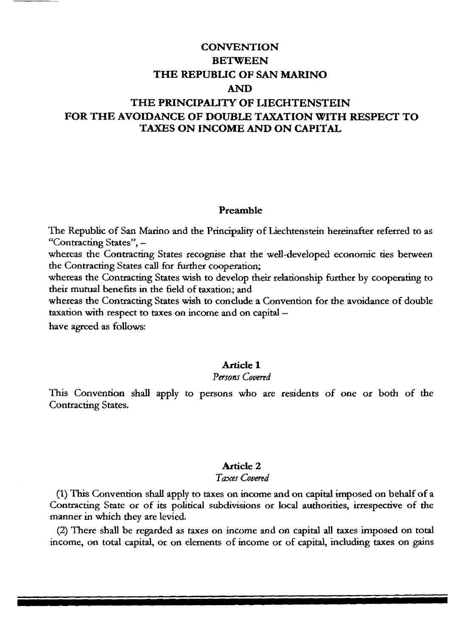# **CONVENTION BETwEEN 'l'HE REPUBUC OF SAN MARINO AND THE PRINCIPALITY OF LIECHTENSTEIN FOR 'l'HE AVOIDANCE OF DOUBLE 'l'AXATION WI'l'H RESPECT 'l'O 'l'AXES ON INCOME AND ON CAPITAL**

# **Preamble**

The Republic of San Marino and the Principality of Liechtenstein hereinafter referred to as "Contracting States", -

whereas the Contracting States recognise that the well-developed economie ties between the Contracting States call for further cooperation;

whereas the Contracting States wish to develop their relationship further by cooperating to their mutual benefits in the field of taxation; and

whereas the Contracting States wish to conclude a Convention for the avoidance of double taxation with respect to taxes on income and on capital -

have agreed as follows:

# **Article 1**

# *Persons Covered*

This Convention shall appIy to persons who are residents of one or both of the Contracting States.

## **Article** 2

#### T*axes Covered*

(1) This Convention shall appIy to taxes on income and on capitaI imposed on behalf of a Contracting State or of its political subdivisions or local authorities, irrespective of the manner in which they are levied.

(2) There shall be regarded as taxes on income and on capitaI ali taxes imposed on totaI income, on total capital, or on elements of income or of capital, including taxes on gains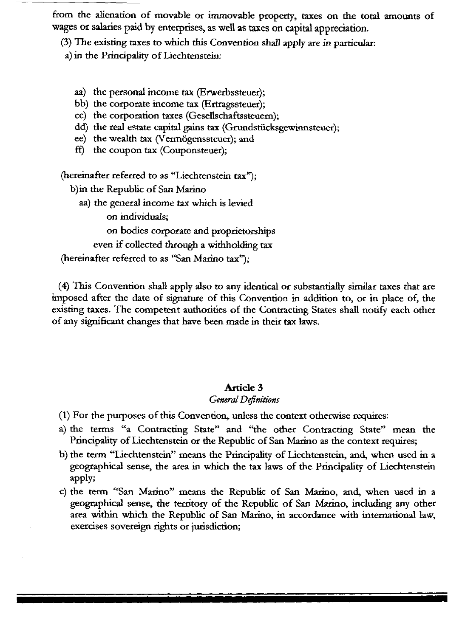from the alienation of movable or immovable property, taxes on the total amounts of wages or salaries paid by enterprises, as well as taxes on capital appreciation.

 $(3)$  The existing taxes to which this Convention shall apply are in particular:

a) in tbe Principality of Liechtenstein:

- aa) the personal income tax (Erwerbssteuer);
- bb) the corporate income tax (Ertragssteuer);
- cc) tbe corporation taxes (Gesellschaftssteuem);
- dd) the real estate capital gains tax (Grundstücksgewinnsteuer);
- ee) the wealth tax (Vermögenssteuer); and
- ff) tbe coupon tax (Couponsteuer);

(hereinafter referred to as "Liechtenstein tax");

- b)in tbe Republic of San Marino
	- aa) the general income tax which is levied

on individuals;

on bodies corporate and proprietorships

even if collected through a withholding tax

(hereinafter referred to as "San Marino tax");

(4) This Convention shall apply also to any identical or substantially similar taxes tbat are imposed after tbe date of signature of this Convention in addition to, or in pIace of, tbe existing taxes. The competent authorities of the Contracting States shall notify each other of any significant changes tbat bave been made in tbeir tax laws.

# **Article** 3

# *General Definitions*

- $(1)$  For the purposes of this Convention, unless the context otherwise requires:
- a) the terms "a Contracting State" and "tbe otber Contracting State" mean tbe Principality of Liechtenstein or the Republic of San Marino as the context requires;
- b) tbe term "Liechtenstein" means tbe Principality of Liechtenstein, and, when used in a geographical sense, tbe area in which tbe tax Iaws of tbe Principality of Liechtenstein apply;
- c) tbe term «San Marino" means tbe Republic of San Marino, and, when used in a geographical sense, tbe territory of tbe Republic of San Marino, including any other area within which tbe Republic of San Marino, in accordance witb intemational law, exercises sovereign rights or jurisdiction;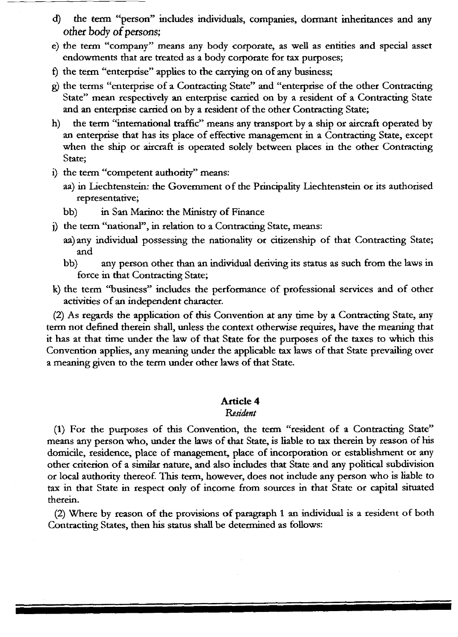- d) the term "person" includes individuals, companies, dormant inheritances and any other body of persons;
- e) tbe tenn "company" means any body eorporate, as well as entities and special asset endowments that are treated as a body corporate for tax purposes;
- f) the tenn "enterprise" applies to the carrying on of any business;
- g) the tenns "enterprise of a Contracting State" and "enterprise of the other Contracting State" mean respectively an enterprise carried on by a resident of a Contracting State and an enterprise carried on by a resident of the other Contracting State;
- h) the term "international traffic" means any transport by a ship or aircraft operated by an enterprise that has its pIace of effective management in a Contracting State, except when the ship or aircraft is operated solely between places in the other Contracting State;
- i) the term "competent authority" means:
	- aa) in Liechtenstein: the Government of the Principality Liechtenstein or its authorised representative;
	- bb) in San Marino: the Ministry of Finance
- j) the term "national", in relation to a Contracting State, means:
	- aa) any individuaI possessing the nationality or citizenship of that Contracting State; and
	- bb) any person other than an individual deriving its status as such from the laws in force in that Contracting State;
- k) the tenn "business" includes the performance of professional services and of other activities of an independent character.

(2) As regards the application of this Convention at any time by a Contracting State, any tenn not defined therein shall, unless the context otherwise requires, have the meaning that it has at that time under the law of that State for the purposes of the taxes to which this Convention applies, any meaning under the applicable tax laws of that State prevailing over a meaning given to the term under other laws of that State.

### Article 4

#### *Resident*

(1) For the purposes of this Convention, the term "resident of a Contracting State" means any person who, under the Iaws of that State, is liabie to tax therein by reason of bis domicile, residence, place of management, place of incorporation or establishment or any other criterion of a similar nature, and also includes that State and any political subdivision or IocaI authority thereof. This term, however, does not include any person who is liabie to tax in that State in respect only of income from sources in that State or capital situated therein.

(2) Where by reason of the provisions of paragraph 1 an individuaI is a resident of both Contracting States, then bis status shall be determined as follows: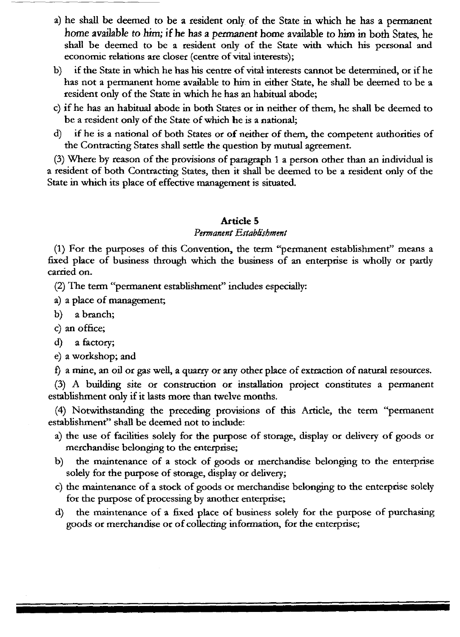- a) he shall be deemed to be a resident ooly of the State in which he has a permanent home available to him; if he has a permanent home available to him in both States, he shall be deemed to be a resident only of the State with which his personal and economic relations are closer (centre of vital interests);
- b) if the State in which he has his centre of vital interests cannot be determined, or if he has not a permanent home available to him in either State, he shall be deemed to be a resident only of the State in which he has an habitual abode;
- c) if he has an habituaI abode in both States or in neither of them, he shall be deemed to be a resident only of the State of which he is a national;
- d) if he is a national of both States or of neither of them, the competent authorities of the Contracting States shall settle the question by mutual agreement.

(3) Where by reason of the provisions of paragraph 1 a person other than an individuai is a resident of botb Contracting States, then it shall be deemed to be a resident only of the State in which its pIace of effective management is situated.

## **Article 5**

#### *Permanent Establishment*

(1) For the purposes of this Convention, tbe term "permanent establishment" means a fixed place of business through which the business of an enterprise is wholly or partly carried on.

(2) Tbe term "permanent establishment" includes especially:

- a) a pIace of management;
- b) a branch;
- c) an office;
- d) a factory;
- e) a workshop; and

f) a mine, an oil or gas well. a quatty or any other pIace of extraction of natural resources.

(3) A building site or construction or installation project constitutes a permanent establishment only if it lasts more than twelve months.

(4) Notwithstanding the preceding provisions of this Article, tbe term "permanent establishment" shall be deemed not to include:

- a) the use of facilities solely for tbe purpose of storage, display or delivery of goods or merchandise belonging to the enterprise;
- b) the maintenance of a stock of goods or merchandise belonging to the enterprise solely for the purpose of storage, display or delivery;
- c) tbe maintenance of a stock of goods or merchandise belonging to the enterprise solely for the purpose of processing by another enterprise;
- d) the maintenance of a fixed place of business solely for the purpose of purchasing goods or merchandise or of collecting information, for the enterprise;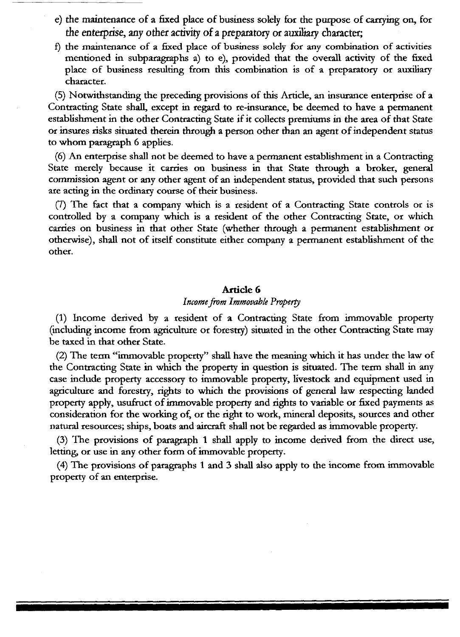- e) the maintenance of a fixed place of business solely for the purpose of carrying on, for the enterprise, any other acrivity of a preparatory or auxiliary character;
- f) tbe rnaintenance of a fixed pIace of business solely for any cornbinarion of acriviries mentioned in subparagraphs a) to e), provided that the overall activity of the fixed piace of business resulting trom this combination is of a preparatory or auxiliary character.

(5) Notwithstanding tbe preceding provisions of this Article, an insurance enterprise of a Contracting State shall, except in regard to re-insurance, be deemed to have a permanent establishment in the other Contracting State if it collects premiums in the area of that State or insures risks situated therein tbrough a person other than an agent ofindependent status to whom paragraph 6 applies.

(6) An enterprise shall not be deemed to have a permanent establishment in a Contracting State merely because it carries on business in that State through a broker, general commission agent or any otber agent of an independent status, provided that such persons are acting in the ordinary course of their business.

(1) The fact that a company which is a resident of a Conttacting State conttols or is conttolled by a company which is a resident of the other Contracting State, or which carries on business in that otber State (whether tbrough a permanent establishment or otberwise), shall not of itself constitute either company a permanent establishment of tbe other.

#### Article 6

#### *Incomefrom Immovable Properf}*

(1) Incorne derived by a resident of a Contracting State from immovabIe property (including income from agriculture or forestry) situated in the other Contracting State may be taxed in that other State.

(2) The term "immovabie property" shall have the meaning which it has under the Iaw of the Contracting State in which the property in question is situated. The term shall in any case include property accessory to immovabie property, livestock and equipment used in agriculture and forestty, rights to which tbe provisions of general law respecting Ianded property apply, usufruct of immovable property and rights to variable or fixed payments as consideration for the working of, or the right to work, mineral deposits, sources and other natural resources; ships, boats and aircraft shall not be regarded as immovable property.

(3) The provisions of paragraph 1 shall appIy to income derived trom tbe direet use, letting, or use in any other form of immovable property.

(4) The provisions of paragraphs 1 and 3 shall also apply to the income from immovable property of an enterprise.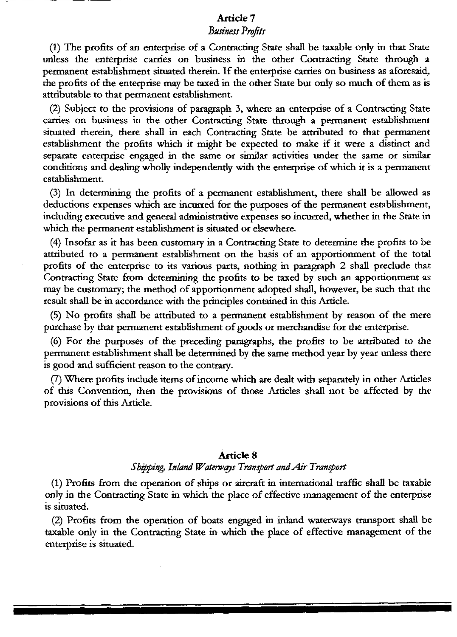### **Artide 7**

### *Business Profils*

(1) The profits of an enterprise of a Contracting State shall be taxabie only in that State unIess the enterprise carries on business in the other Contracting State through a permanent establishment situated therein. If the enterprise carries on business as aforesaid, the profits of the enterprise may be taxed in the other State but only so much of them as is attributabie to that permanent establishment.

(2) Subject to the provisions of paragraph 3, where an enterprise of a Contracting State carries on business in the other Contracting State through a permanent establishment situated therein, there shall in each Contracting State be attributed to that permanent establishment the profits which it might be expected to make if it were a distinct and separate enterprise engaged in the same or similar activities under the same or similar conditions and dealing wholly independently with the enterprise of which it is a permanent establishment.

(3) In determining the protits of a permanent establishment, there shall be allowed as deductions expenses which are incurred for the purposes of the permanent establishment, including executive and general administrative expenses so incurred, whether in the State in which the permanent establishment is situated or elsewhere.

(4) lnsofar as it has been customary in a Contracting State to determine the profits to be attributed to a permanent establishment on the basis of an apportionment of the totaI protits of the enterprise to its various parts, nothing in paragraph 2 shall preclude that Contracting State from determining the profits to be taxed by such an apportionment as may be customary; the method of apportionment adopted shall, however, be such that the result shall be in accordance with the principles contained in this Article.

(5) No protits shall be attributed to a permanent establishment by reason of the mere purchase by that permanent establishment of goods or merchandise for the enterprise.

(6) For the purposes of the preceding paragraphs, the protits to be attributed to the permanent establishment shall be determined by the same method year by year unless there is good and sufficient reason to the contrary.

(J) Where protits indude iterns ofincome which are dealt with separately in other Articles of this Convention, then the provisions of those Articles shall not be affected by the provisions of this Article.

#### **Artide 8**

#### *Shipping, In/ond Waterw'!J's Transport ondAir Tronsport*

(1) Protits from the operation of ships or aircraft in intemational traftic shall be taxable only in the Contracting State in which the place of effective management of the enterprise is situated.

(2) Protits from the operation of boats engaged in iniand waterways transport shall be taxabie only in the Contracting State in which the pIace of effective management of the enterprise is situated.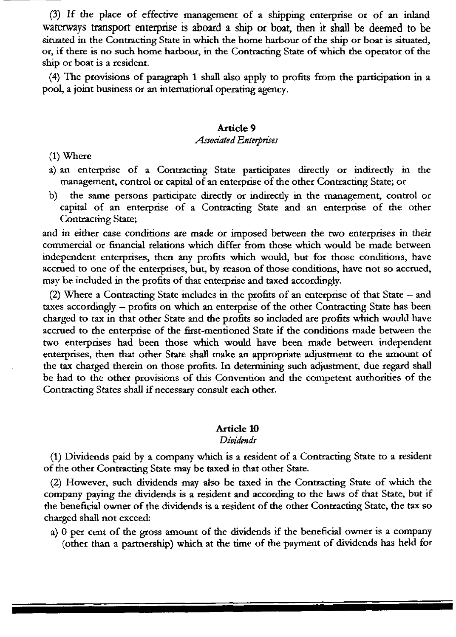(3) lf the pIace of effective management of a shipping enterprise *oe* of an inland waterways transport enterprise is aboard a ship or boat, then it shall be deemed to be situated in the Contracting State in which the home harbour of the ship or boat is situated, or, if there is no such home harbour, in the Contracting State of which the operator of the ship or boat is a resident.

(4) The provisions of pacagcaph 1 shaIl also appIy to pcotits feom the participation in a pool, a joint business or an international operating agency.

# Artic1e 9

### **Associated Enterprises**

(1) Where

- a) an enterprise of a Contracting State participates directly or indirectly in the management, control or capital of an enterprise of the other Contracting State; or
- b) the same persons participate directly or indirectly in the management, control or capital of an enterprise of a Contracting State and an enterprise of the other Contracting State;

and in either case conditions are made or imposed between the two enterprises in their commercial or financial relations which differ from those which would be made between independent enterprises, then any profits which would, but for those conditions, have accrued to one of the enterprises, but, by reason of those conditions, have not so accrued, may be included in the profits of that enterprise and taxed accordingly.

(2) Where a Contracting State includes in the profits of an enterprise of that State - and taxes accordingly – profits on which an enterprise of the other Contracting State has been charged to tax in that other State and the profits so included are profits which would have accrued to the enterprise of the first-mentioned State if the conditions made between the two enterprises had been those which would have been made between independent enterprises, then that othee State shall make an appropriate adjustment to the amount of the tax charged therein on those profits. In determining such adjustment, due regard shall be had to the othee provisions of this Convention and the competent authorities of the Contracting States shall if necessary consult each other.

### Artic1e **10**

#### *Divùlends*

(1) Dividends paid by a company which is a eesident of a Contracting State to a eesident of the other Contracting State may be taxed in that other State.

(2) However, such dividends may also be taxed in the Contracting State of which the company paying the dividends is a resident and according to the laws of that State, but if the beneficial owner of the dividends is a resident of the other Contracting State, the tax so chacged shall not exceed:

a) 0 per cent of the gross amount of the dividends if the beneficial owner is a company (other than a partnership) which at the time of the payment of dividends has held for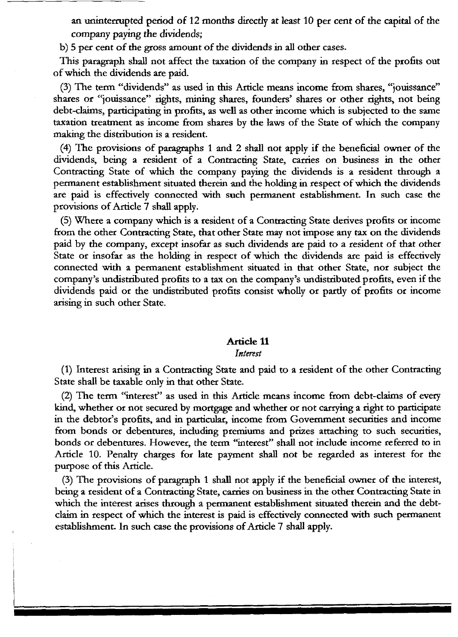an uninterrupted period of 12 months directly at least 10 per cent of the capital of the company paying the dividends;

b) 5 per cent of the gross amount of the dividends in all other cases.

This paragraph shall not affect tbe taxation of tbe company in respect of tbe profits out ofwhich tbe dividends are paid.

(3) The term "dividends" as used in this Artide means income from shares, "jouissance" shares or "jouissance" rights, mining shares, founders' shares or other rights, not being debt-claims, participating in profits, as well as other income which is subjected to the same taxation treatment as income from shares by tbe Iaws of tbe State of which the company making tbe distribution is a resident.

(4) The provisions of paragraphs 1 and 2 shall not apply if tbe beneficiaI owner of tbe dividends, being a resident of a Contracting State, carries on business in the other Contracting State of which tbe company paying tbe dividends is a resident through a permanent establishment situated therein and the holding in respect of which the dividends are paid is effectively connected witb such permanent establishment. In such case tbe provisions of Article 7 shall apply.

(5) Where a company which is a resident of a Contracting State derives profits or income from the other Contracting State, that other State may not impose any tax on the dividends paid by the company, except insofar as such dividends are paid to a resident of that other State or insofar as the holding in respect of which the dividends are paid is effectively connected witb a permanent establishment situated in tbat otber State, nor subject tbe company's undistributed profits to a tax on the company's undistributed profits, even if the dividends paid or the undistributed profits consist wholly or partly of profits or income arising in such other State.

#### **Article 11**

#### *Interest*

(1) Interest arising in a Contracting State and paid to a resident of tbe otber Contracting State shall be taxable only in tbat otber State.

(2) The term "interest" as used in this Artide means income from debt-claims of every kind, whetber or not secured by mortgage and whether or not carrying a right to participate in the debtor's profits, and in particular, income from Government securities and income from bonds or debentures, including premiums and prizes attaching to such securities, bonds or debentures. However, the term "interest" shall not include income referred to in Artide 10. Penalty charges for late payrnent shall not be regarded as interest for tbe purpose of this Article.

(3) The provisions of paragraph 1 shall not apply if tbe beneficiaI owner of tbe interest, being a resident of a Contracting State, carries on business in the other Contracting State in which the interest arises through a permanent establishment situated therein and the debtclaim in respect of which tbe interest is paid is effectively connected witb such permanent establishment. In such case the provisions of Article 7 shall apply.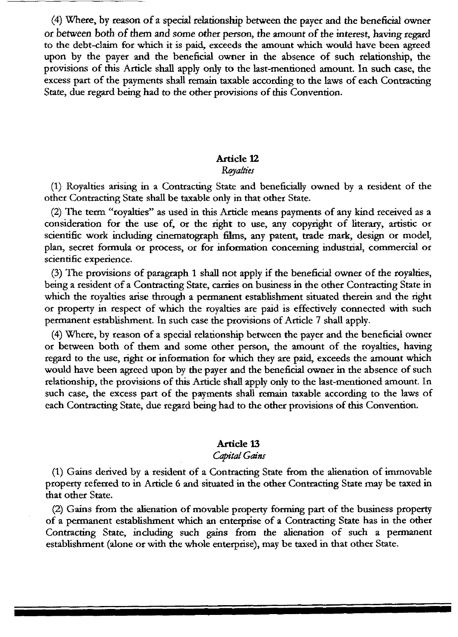(4) Where, by reason of a special relationship between the payer and the beneficial owner or between both of them and some other person, the amount of the interest, having *regard* to the debt-claim foc which it is paid, exceeds the amount which would have been agreed upon by the payer and the beneficial owner in the absence of such relationship, the provisions of this Artide shall appIy only to the Iast-mentioned amount. In such case, the excess part of the payments shall remain taxable according to the laws of each Contracting State, due regard being had to the other provisions of this Convention.

# **Article 12**

## *Rqyalties*

(1) Royalties arising in a Conteacting State and beneficially owned by a resident of the other Contracting State shall be taxable only in that other State.

(2) The *tecm* "royalties" as used in this Artide means payments of any kind eeceived as a consideration for the use of, or the right to use, any copyright of literary, artistic or scientific work including cinematograph films, any patent, trade mark, design or model, plan, secret formula or process, or for information concerning industrial, commercial or scientific experience.

(3) The provisions of paragraph 1 shall not appIy if the beneficiaI owner of the royalties, being a resident of a Contracting State, carries on business in the other Contracting State in which the royalties arise through a permanent establishment situated therein and the right or property in respect of which the royalties are paid is effectively connected with such permanent establishment. In such case the provisions of Article 7 shall apply.

(4) Where, by reason of a special relationship between the payer and the beneficial owner or between botb of tbem and some other person, the amount of tbe royalties, having regard to the use, right or information for which they are paid, exceeds the amount which would have been agreed upon by the payer and the beneficial owner in the absence of such relationship, the provisions of this Article shall apply only to the last-mentioned amount. In such case, the excess part of the payments shall remain taxable according to the laws of each Contracting State, due regard being had to the other provisions of this Convention.

# Article 13

#### *Capital Gains*

(1) Gains derived by a eesident of a Contracting State from tbe alienation of immovable property referred to in Article 6 and situated in the other Contracting State may be taxed in that otber State.

(2) Gains from the alienation of movable property forming part of the business property of a permanent establishment which an enterprise of a Contracting State has in the other Contracting State, including such gains from the alienation of such a permanent establishment (alone or with the whole enterprise), may be taxed in that other State.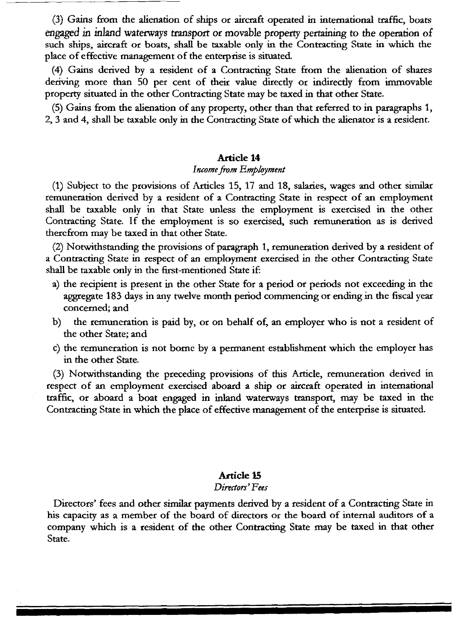(3) Gains from the alienarion of ships or aireraft operated in intemational traffic, boats engaged in inland waterways transport or movable property pertaining to the operation of such ships, aircraft or boats, shall be taxable only in the Contracting State in which the place of effecrive management of the enterprise is situated.

----------------

(4) Gains derived by a resident of a Contracting State from the alienation of shares deriving more than 50 per cent of their value direcdy or indirectly from inunovable property situated in the other Contracting State may be taxed in that other State.

(5) Gains from the alienarion of any property, other than that referred to in paragraphs 1, 2, 3 and 4, shall be taxable only in the Contracting State of which the alienator is a resident.

#### **Artide 14**

## *Income from Employment*

(1) Subject to the provisions of Articles 15, 17 and 18, salaries, wages and other similar remuneration derived by a resident of a Contracting State in respeet of an employment shall be taxable only in that State unless the employment is exercised in the other Contracting State. If the employment is so exercised, sueh remuneration as is derived therefrom may be taxed in that other State.

(2) Notwithstanding the provisions of paragraph 1, remuneration derived by a resident of a Contracting State in respect of an employment exercised in the other Contracting State shall be taxable only in the first-mentioned State if:

- a) the recipient is present in the other State for a period or periods not exceeding in the aggregate 183 days in any twelve month period commencing or ending in the fiscal year concerned; and
- b) the remuneration is paid by, or on behalf of, an employer who is not a resident of the other State; and
- c) the remuneration is not bome by a permanent establishment which the employer has in the other State.

(3) Notwithstanding the preceding provisions of this Artide, remuneration derived in respect of an employment exercised aboard a ship or aireraft operated in international traffic, or aboard a boot engaged in inland waterways transport, may be taxed in the Contracting State in which the place of effective management of the enterprise is situated.

#### **Artide 15**

#### *Din:ctors' Fees*

Directors' fees and other similar payments derived by a resident of a Contracting State in his capacity as a member of the board of directors or the board of internai auditors of a company whieh is a resident of the other Contracting State may be taxed in that other State.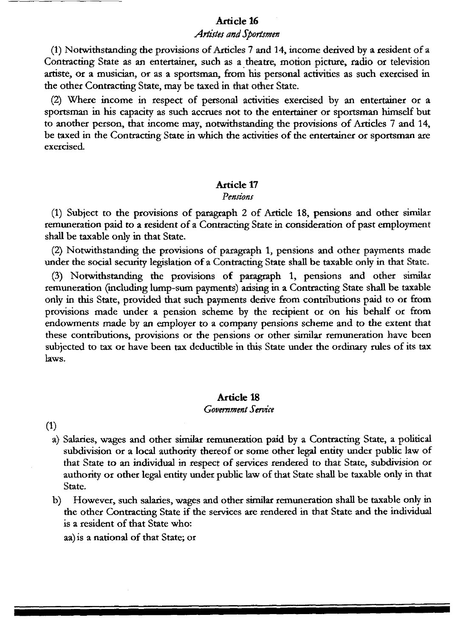### **Artiele 16**

# *Artistes and Sportsmen*

(1) Notwithstanding the provisions of Articles 7 and 14, income derived by a resident of a Contracting State as an entertainer, such as a theatre, motion picture, radio or television artiste, or a musician, or as a sportsman, from his personal activities as such exercised in the other Contracting State, may be taxed in that other State.

(2) Where income in respeet of personal activities exercised by an entertainer or a sportsman in his capacity as such accrues not to the entertainer or sportsman hirnself but to another person, that income may, notwithstanding the provisions of Articles 7 and 14, be taxed in the Contracting State in which the activities of the entertainer or sportsman are exercised.

## **Article 17**

### Pensions

(1) Subject to the provisions of paragraph 2 of Article 18, pensions and other simiIar remuneration paid to a resident of a Contracting State in consideration of past employment shall be taxable only in that State.

(2) Notwithstanding the provisions of paragraph 1, pensions and other payments made under the social security legislation of a Contracting State shall be taxable only in that State.

(3) Notwithstanding the provisions of paragraph 1, pensions and other similar remuneration (including lump-sum payments) arising in a Contracting State shall be taxable only in this State, provided that such payments derive from contributions paid to or from provisions made under a pension scheme by the recipient or on his behalf or trom endowments made by an employer to a company pensions scheme and to the extent that these contributions, provisions or the pensions or other similar remuneration have been subjected to tax or have been tax deductible in this State under the ordinary rules of its tax laws.

# **Article18**

#### Government Service

(1)

- a) Salaries, wages and other similar remuneration paid by a Contracting State, a political subdivision or a local authority thereof or some other legal entity under public law of that State to an individual in respect of services rendered to that State, subdivision or authority or other legal entity under public law of that State shall be taxable only in that State.
- b) However, such salaries, wages and other similar remuneration shall be taxable only in the other Contracting State if the services are rendered in that State and the individual is a resident of that State who:
	- aa)is a national of that State; or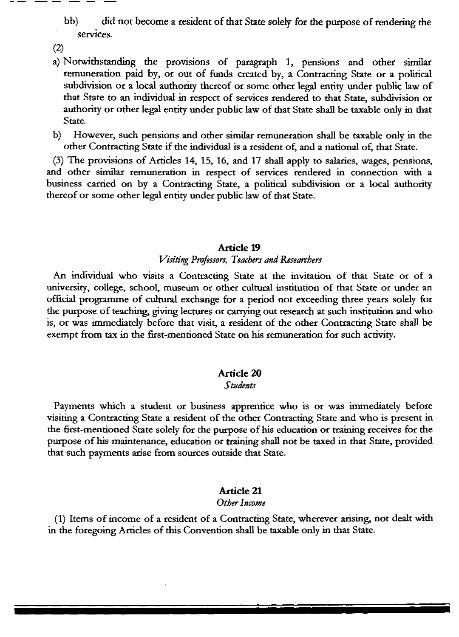bb) did not become a resident of that State solely for the purpose of rendering the services.

(2)

- a) Notwithstanding the provisions of paragraph 1, pensions and other similar remuneration paid by, or out of funds created by, a Contracting State or a politica! subdivision or a local authority thereof or some other legal entity under public law of that State to an individuai in respeet of services rendered to that State, subdivision or authority or other legal entity under public law of that State shall be taxable only in that State.
- b) However, such pensions and other similar remuneration shall be taxable only in the other Contracting State if the individual is a resident of, and a national of, that State.

 $(3)$  The provisions of Articles 14, 15, 16, and 17 shall apply to salaries, wages, pensions, and other similar remuneration in respeet of services rendered in connection with a business carried on by a Contracting State, a political subdivision or a local authority thereof or some other legal entity under public law of that State.

#### **Article 19**

### *Visiting* Professors, Teachers and Researchers

An individuai who visits a Contracting State at the invitation of that State or of a university, college, school, museum or other cultural institution of that State or under an official programme of cultural exchange for a period not exceeding three years solely for the purpose of teaching, giving lectures or carrying out research at such institution and who is, or was immediately before that visit, a resident of the other Contracting State shall be exempt from tax in the first-mentioned State on bis remuneration for such activity.

## **Article 20**

#### *Students*

Payments which a student or business apprentice who is or was immediately before visiting a Contracting State a resident of the other Conrracting State and who is present in the first-mentioned State solely for the purpose of his education or training receives for the purpose of his maintenance, education or training shall not be taxed in that State, provided that such payments anse from sources outside that State.

# **Article 21**

#### *OtherIncome*

(1) Items of income of a resident of a Contracting State, wherever arising, not dealt with in the foregoing Articles of this Convention shali be taxable only in that State.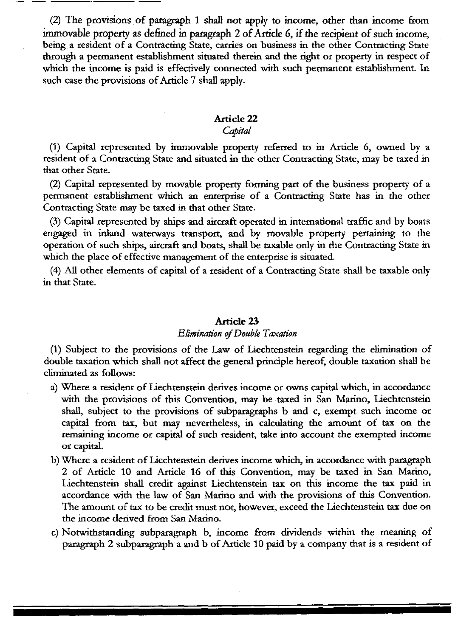(2) The provisions of paragraph 1 shall not apply to income, other than income from immovable property as defined in paragraph 2 of Article 6, if the recipient of such income, being a resident of a Contracting State, carries on business in the other Contracting State through a permanent establishment situated therein and the right or property in respeet of which the income is paid is effectively connected with such permanent establishment. In such case the provisions of Article 7 shall apply.

# Article 22

# *Capita!*

(1) CapitaI represented by immovable property referred to in Artide 6, owned by a resident of a Contracting State and situated in the other Contracting State, may be taxed in that other State.

(2) CapitaI represented by rnovable property forming part of the business property of a permanent establishment which an enterprise of a Contracting State has in the other Contracting State may be taxed in that other State.

(3) CapitaI represented by ships and aircraft operated in intemational traffic and by boats engaged in inland waterways transport, and by movabie property pertaining to the operation of such ships, aircraft and boats, shall be taxable only in the Contracting State in which the place of effective management of the enterprise is situated.

(4) All other elements of capital of a resident of a Contracting State shall be taxable only in that State.

#### Article 23

#### *Elimination of Double Taxation*

(1) Subject to the provisions of the Law of Liechtenstein regarding the elimination of double taxation which shall not affect the general principle hereof, double taxation shall be eliminated as follows:

- a) Where a resident of Liechtenstein derives income or owns capital which, in accordance with the provisions of this Convention, may be taxed in San Marino, Liechtenstein shall, subject to the provisions of subparagraphs b and c, exempt such income or capitaI from tax, but may nevertheless, in calculating the amount of tax on the remaining income or capital of such resident, take into account the exempted income or capital.
- b) Where a resident of Liechtenstein derives income which, in accordance with paragraph 2 of Artide 10 and Artide 16 of this Convention, rnay be taxed in San Marino, Liechtenstein shall credit against Liechtenstein tax on this incorne the tax paid in accordance with the law of San Marino and with the provisions of this Convention. The amount of tax to be credit must not, however, exceed the Liechtenstein tax due on the income derived from San Marino.
- c) Notwithstanding subparagraph b, income from dividends within the meaning of paragraph 2 subparagraph a and b of Article 10 paid by a company that is a resident of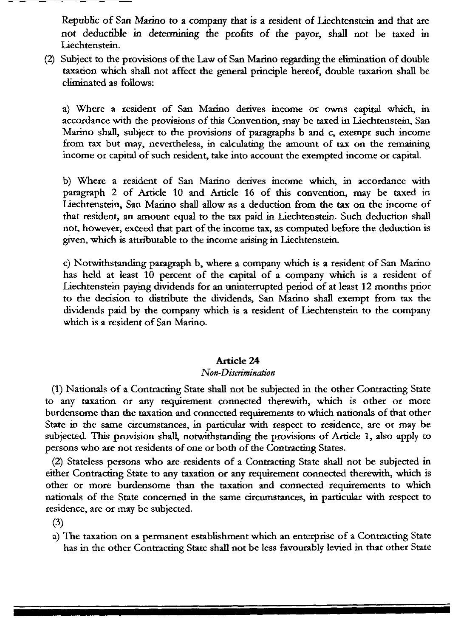Republic of San Marino to a company that is a resident of liechtenstein and that are not deductìble in determìning tbe pcofits of the payor, shall not be taxed in Liechtenstein.

(2) Subject to the provisions of the Law of San Marino regarding the elimination of double taxation which shall not affect the general principle hereof, double taxation shall be eliminated as follows:

a) Where a resident of San Marino derives income or owns capitaI which, in accordance with the provisions of this Convention, may be taxed in Liechtenstein, San Marino shall, subject to the provisions of paragraphs b and c, exempt such income from tax but may, nevertheless, in calculating the amount of tax on the remaining income or capital of such resident, take into account the exempted income or capital.

b) Where a resident of San Marino derives income which, in accordance with paragraph 2 of Article 10 and Article 16 of this convention, may be taxed in Liechtenstein, San Marino shall allow as a deduction from the tax on the income of that resident, an amount equal to tbe tax paid in Liechtenstein. Such deduction shall not, however, exceed that part of the income tax, as computed before the deduction is given, which is attributable to the income arising in Liechtenstein.

c) Notwithstanding paragraph b, where a company which is a resident of San Marino has held at least 10 percent of the capital of a company which is a resident of Liechtenstein paying dividends for an uninterrupted period of at least 12 months prior to the decision to distribute the dividends, San Marino shall exempt frorn tax the dividends paid by the company which is a resident of Liechtenstein to the company which is a resident of San Marino.

# Artide 24

### *Non-Discriminotion*

(1) Nationals of a Conttacting State shall not be subjected in the other Conttacting State to any taxation or any requirement connected therewith, which is other or more burdensome than the taxation and connected requirements to which nationals of that other State in the same circumstances, in particular with respect to residence, are or may be subjected. This provision shall, notwithstanding the provisions of Article 1, also apply to persons who are not residents of one or both of the Contracting States.

(2) Stateless persons who are residents of a Contracting State shall not be subjected in cither Contracting State to any taxation or any requirement connected therewitb, which is other or more burdensome than the taxation and connected requirements to which nationals of the State concemed in the same circumstances, in particular with respect to residence, are or may be subjected.

(3)

a) The taxation on a permanent establishment which an enterprise of a Contracting State has in the other Conttacting State shall not be less favourably levied in that other State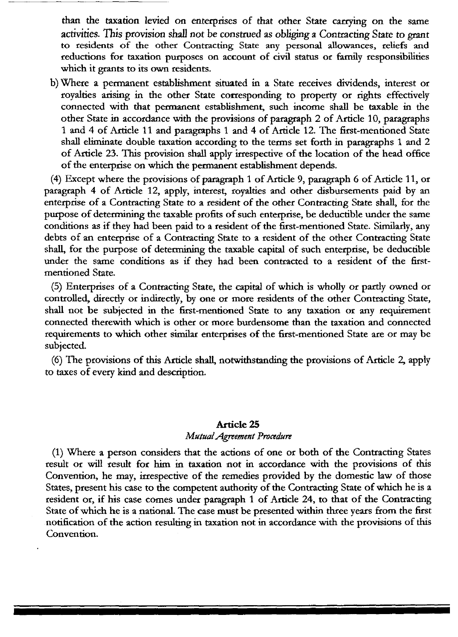than the taxation levied on enterprises of that other State carrying on the same activities. This provision shall not be construed as obliging a Contracting State to grant to residents of the other Conttacting State any personal a1lowances, reliefs and reductions for taxation purposes on account of civil status or family responsibilities which it grants to its own residents.

b) Where a permanent establishment situated in a State receives dividends, interest or royalties arising in the other State corresponding to property or rights effectively connected with that permanent establishment, such income shall be taxable in the other State in accordance with the provisions of paragraph 2 of Artide 10, paragraphs 1 and 4 of Artide 11 and paragraphs 1 and 4 of Artide 12. Tbe first-mentioned State shall eliminate double taxation according to the terrns set forth in paragraphs 1 and 2 of Arride 23. This provision shall apply irrespecrive of the location of tbe head office of the enterprise on which the permanent establishment depends.

(4) Except where the provisions of paragraph 1 of Article 9, paragraph 6 of Article 11, or paragraph 4 of Arride 12, apply, interest, royalties and otber disbursements paid by an enterprise of a Contracting State to a resident of the other Contracting State shall, for the purpose of determining the taxable profits of such enterprise, be deductible under the same conditions as if they had been paid to a resident of the first-mentioned State. Similarly, any debts of an enterprise of a Contracting State to a resident of the other Contracting State shall, for the purpose of determining the taxable capital of such enterprise, be deductible under tbe same conditions as if they had been contracted to a resident of tbe firstmenrioned State.

(5) Enterprises of a Contracting State, the capita! of which is wholly or partly owned or controlled, directly or indirectly, by one or more residents of the other Contracting State, shall not be subjected in the first-menrioned State to any taxarion or any requirement connected therewitb which is other or more burdensome than the taxarion and connected requirements to which other similar enterprises of the first-mentioned State are or may be subjected.

(6) Tbe provisions of this Artide shall, notwitbstanding tbe provisions of Arricle 2, apply to taxes of every kind and descriprion.

# **Artide 25**

# *Mutual Agreement Procedure*

(1) Where a person considers that the actions of one or both of the Contracting States result or will result for him in taxarion not in accordance with tbe provisions of this Convention, he may, irrespective of the remedies provided by the domestic law of those States, present his case to the competent authority of the Contracting State of which he is a resident or, if his case comes under paragraph 1 of Article 24, to that of the Contracting State of which he is a national. The case must be presented within three years from the first notification of the action resulting in taxation not in accordance with the provisions of this Convention.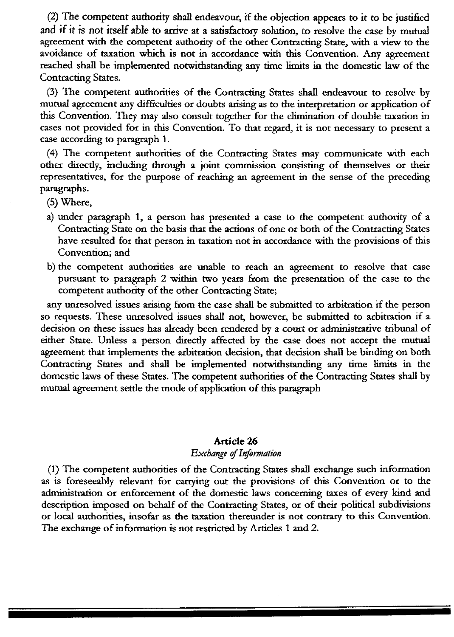(2) Tbe competent authority shall endeavour, if the objection appears to it to be justified and if it is not itself able to arrive at a satisfactory solution, to resolve the case by mutual agreement with the competent authority of the other Contracting State, with a view to the avoidance of taxation which is not in aeeordance witb this Convention. Any agreement reached shall be impiemented notwithstanding any time limits in tbe domestic law of the Contracting States.

(3) Tbc competent autborities of tbe Contracting States shall endeavour to resolve by mutuai agreement any difficulties or doubts arising as to the interpretation or application of this Convention. They may also consult together for the elimination of double taxation in cases not provided for in this Convention. To that regard, it is not necessary to present a case according to paragraph 1.

(4) Tbe competent authorities of the Contracting States may communicate with each other directly, including through a joint commission consisting of themselves or their representatives, far the purpose of reaching an agreement in the sense of the preceding paragraphs.

- (5) Where,
- a) under paragraph 1, a person has presented a case to the competent authority of a Contracting State on the basis that the actions of one or both of the Contracting States have resulted for that person in taxation not in accordance with the provisions of this Convention; and
- b) the competent authorities are unable to reach an agreement to resolve that case pursuant to paragraph 2 within two years from the presentation of the case to the competent authority of the other Contracting State;

any unresolved issues arising from the case shall be submitted to arbitration if the person so requests. These unresolved issues shall not, however, be submitted to arbitration if a decision on these issues has already been rendered by a court or administrative tribunal of either State. Unless a person directly affected by the case does not accept the mutual agreement that implements the arbitration decision, that decision shall be binding on both Contracting States and shaII be implemented notwithstanding any time limits in the domestic laws of these States. The competent authorities of the Contracting States shall by mutual agreement settle the mode of application of this paragraph

### **Artide 26**

### *Exchange* 0/*ltifOrmation*

(1) Tbc competent autborities of tbc Contracting States shall exchange such information as is foreseeably relevant for carrying out the provisions of this Convention or to the administration or enforcement of the domestic laws concerning taxes of every kind and description imposed on behalf of the Contracting States, or of their political subdivisions or local authorities, insofar as the taxation thereunder is not contrary to this Convention. The exchange of information is not restricted by Articles 1 and 2.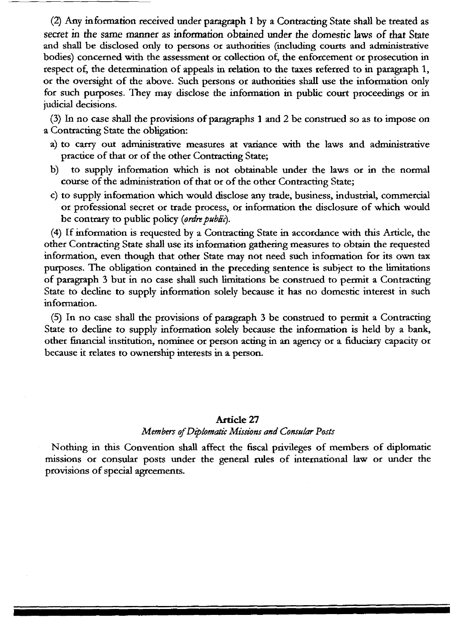(2) Any information received under paragraph 1 by a Contracting State shall be treated as secret in the same manner as information obtained under the domestic laws of that State and shall be disclosed only to persons or authorities (including courts and administrative bodies) concemed with the assessment or collection of, the enforcement or prosecution in respect of, the determination of appeals in relation to the taxes referred to in paragraph 1, or the oversight of the above. Such persons or authorities shall use tbe information onIy for such purposes. They may disclose the information in public court proceedings or in judiciaI decisions.

(3) In no case shall tbe provisions of paragraphs 1 and 2 be construed so as to impose on a Contraeting State the obligation:

- a) to carry out administrative measures at variance witb tbe laws and administrative practice of that or of the other Contracting State;
- b) to supply information which is not obtainable under the laws or in the normal course of the administration of that or of the other Contracting State;
- c) to supply information which would disclose any trade, business, industriaI, commerciaI or professiona! secret or trade process, or information tbe disclosure of which would be contrary to public policy *(ordre pubiic).*

(4) If information is requested by a Contracting State in accordance with this Article, the other Contracting State shall use its information gathering measures to obtain the requested information, even though that other State may not need such information for its own tax purposes. The obligation contained in the preceding sentence is subject to the limitations of paragraph 3 but in no case shall such limitations be construed to permit a Contracting State to decline to supply information solely because it has no domestic interest in such information.

(5) In no case shall the provisions of paragraph 3 be construed to permit a Conttacting State to decline to supply information solely because the information is held by a bank, other financial institution, nominee or person acting in an agency or a fiduciary capacity or because it relates to ownership interests in a person.

### **Artide 27**

#### *Members ofDiplomaiU Missions and Consufar Posts*

Nothing in this Convention shall affect the fiscal privileges of members of diplomatic missions or consular posts under the generaI rules of intemational 1aw or under the provisions of special agreements.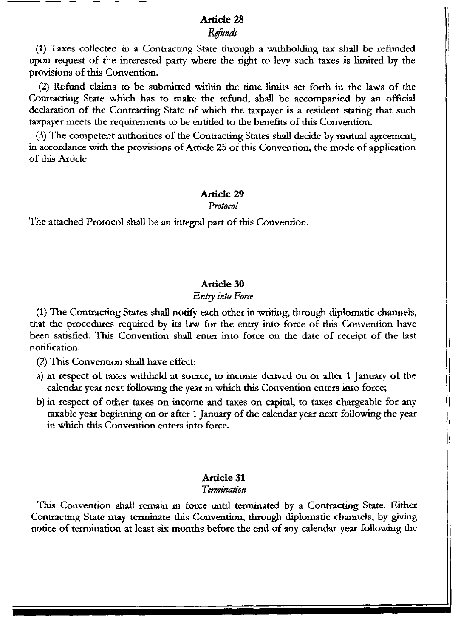# Article 28

# *Reftnds*

(1) Taxes collected in a Contracting State through a withholding tax shall be refunded upon request of the interested party where the right to levy such taxes is limited by the provisions of this Convention.

(2) Refund claims to be subrnitted within tbe rime limits set forth in the laws of tbe Contracting State which has to make the refund, shall be accompanied by an official declaration of the Contracting State of which the taxpayer is a resident stating that such taxpayer meets the requirements to be entitled to the benefits of this Convention.

(3) The competent authorities of the Contracting States shall decide by mutual agreement, in accordance with the provisions of Article 25 of this Convention, the mode of application of this Article.

# Article 29

#### *Protorol*

The attached Protocol shall be an integral part of this Convention.

### Article 30

# *Entry into Force*

(1) Tbe Contracting States shall notify each otber in writing, through diplomatic channels, that tbe procedures required by its law for tbe entry into force of this Convention have been satisfied. This Convention shall enter into force on the date of receipt of the last notification.

(2) This Convention shall have effect:

- a) in respect of taxes withheld at source, to income derived on or after 1 January of the calendar year next following the year in which this Convention enters into force;
- b) in respect of other taxes on income and taxes on capital, to taxes chargeable for any taxable year beginning on or after 1 January of the calendar year next following the year in which this Convention enters into force.

# Article **31**

### *Termifll.1tion*

This Convention shall remain in force until terminated by a Contracting State. Either Contracting State may terminate this Convention, through diplomatic channels, by giving notice of termination at least six months before the end of any calendar year following the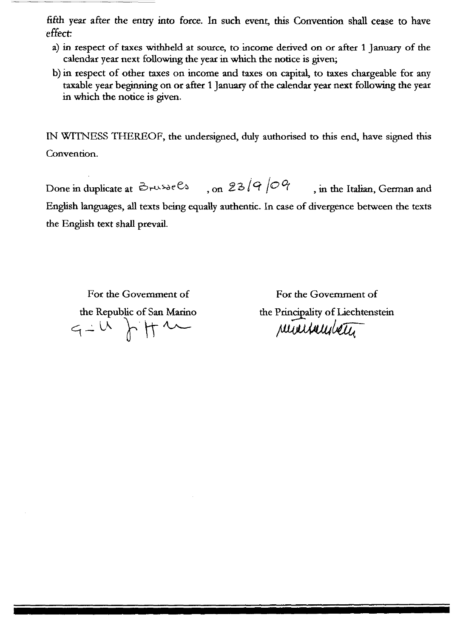fifth year after the entry into force. In such event, this Convention shall cease to have effect

- a) in respect of taxes withheld at source, to incorne derived on or after 1 ]anuary of the calendar year next following the year in which the notice is given;
- b) in respect of other taxes on income and taxes on capital, to taxes chargeable for any taxable year beginning on or after 1 January of the calendar year next following the year in which the notice is given.

IN WITNESS THEREOF, the undersigned, duly authorised to this end, have signed this Convention.

Done in duplicate at  $\Rightarrow$ r-u->àe<sup>e</sup> , on 23/9/09, in the Italian, German and English languages, all texts being equally autbenric. In case of divergence between the texts the English text shall prevail.

For the Govemment of tbe Republic of San Marino  $G - W$  } it  $W$ 

For the Govemment of the Principality of Liechtenstein runningleti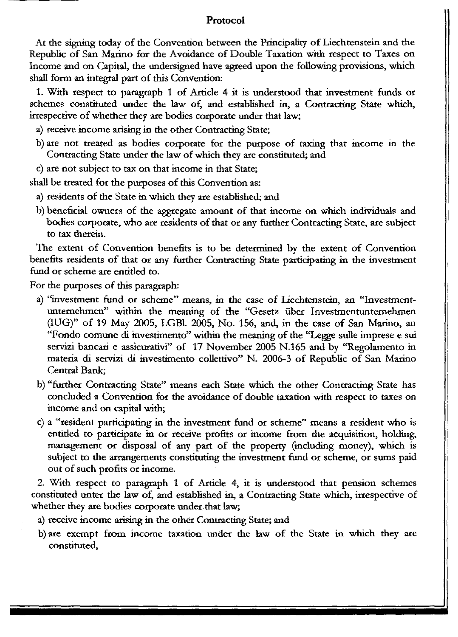# **Protocol**

At the signing today of the Convention between the Principality of Liechtenstein and the Republic of San Marino for the Avoidance of Double Taxation with respeet to Taxes on lncome and on CapitaI, the undersigned have agreed upon the following provisions, which shall form an integral part of this Convention:

1. With respeet to paragraph 1 of Artide 4 it is understood that investment funds or schemes constituted under the law of, and established in, a Contracting State which, irrespective of whether they are bodies corporate under that law;

- a) receive income arising in the other Contracting State;
- b) are not treated as bodies corporate for the purpose of taxing that incorne in the Contracting State under the law of which they are constituted; and
- c) are not subject to tax on that income in that State;

shall be treated for the purposes of this Convention as:

- a) residents of the State in which they are established; and
- b) benefieial owners of the aggregate amount of that income on which individuals and bodies corporate, who are residents of that or any further Contracting State, are subject to tax therein.

The extent of Convention benefits is to be determined by the extent of Convention benefits residents of that or any further Contracting State participating in the investment fund or scheme are entitled to.

For the purposes of this paragraph:

- a) "investment fund or scheme" means, in the case of Liechtenstein, an "Investmentunternehmen" within the meaning of the "Gesetz iiber Investmentuntemehrnen (IUG)" of 19 May 2005, LGBl. 2005, No. 156, and, in the case of San Marino, an "Fondo comune di investimento" within the meaning of the "Legge sulle imprese e sui servizi bancari e assicurativi" of 17 November 2005 N.165 and by "Regolamento in materia di servizi di investimento collettivo" N. 2006-3 of Republic of San Marino Central Bank;
- b) "further Contracting State" rneans each State which the other Contracting State has concluded a Convention for the avoidance of double taxation with respect to taxes on income and on capitaI with;
- c) a "resident participating in the investment fund or scheme" means a resident who is entitled to participate in or receive profits or income from the acquisition, holding, management or disposal of any part of the property (including money), which is subject to the arrangements constituting the investment fund or scheme, or sums paid out of such profits or income.

2. With respect to paragraph 1 of Artide 4, it is understood that pension schemes constituted unter the law of, and established in, a Contracting State which, irrespective of whether they are bodies corporate under that law;

- a) receive income arising in the other Contracting State; and
- b) are exempt from income taxation under the law of the State in which they are constituted,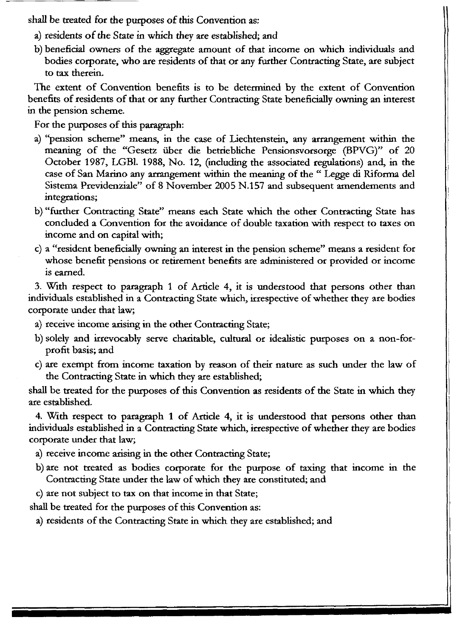shall be treated for the purposes of this Convention as:

- a) residents of the State in which they are established; and
- b) beneficial owners of the aggregate amount of that income on which individuals and bodies corporate, who are residents of that or any further Contracting State, are subject to tax therein.

The extent of Convention benefits is to be determìned by the extent of Convention benefits of residents of that or any further Contracting State beneficially owning an interest in tbe pension scheme.

For the purposes of this paragraph:

- a) "pension scheme" means, in the case of Liechtenstein, any arrangement within the rneaning of tbe "Gesetz iiber die betriebliche Pensionsvorsorge (BPVG)" of 20 October 1987, LGBl. 1988, No. 12, (induding the associated regulations) and, in the case of San Marino any arrangement within the rneaning of the " Legge di Riforma del Sistema PrevidenziaIe" of 8 November 2005 N.157 and subsequent amendernents and integrations;
- b) "further Contracting State" means each State which the other Contracting State has concluded a Convention for the avoidance of double taxation with respect to taxes on income and on capitaI witb;
- c) a "resident beneficially owning an interest in tbe pension scheme" rneans a resident for whose benefit pensions or retirement benefits are administered or provided or income is eamed.

3. With respect to paragraph 1 of Artide 4, it is understood that persons otber than individuals established in a Contracting State which, irrespective of whether they are bodies corporate under that law;

- a) receive income arising in the other Contracting State;
- b) soIely and irrevocably serve charitable, culturaI or idealistic purposes on a non-forprofit basis; and
- c) are exempt from income taxation by reason of their nature as such under the law of tbe Contracting State in which tbey are established;

shall be treated for the purposes of this Convention as residents of the State in which they are established

4. With respect to paragraph 1 of Article 4, it is understood that persons other than individuals established in a Conrracting State which, irrespective of whether they are bodies corporate under that law;

- a) receive income arising in the other Contracting State;
- b) are not treated as bodies corporate for the purpose of taxing that income in the Contracting State under the law of which they are constituted; and

c) are not subject to tax on that income in that State;

shall be treated for the purposes of this Convention as:

a) residents of the Contracting State in which they are established; and